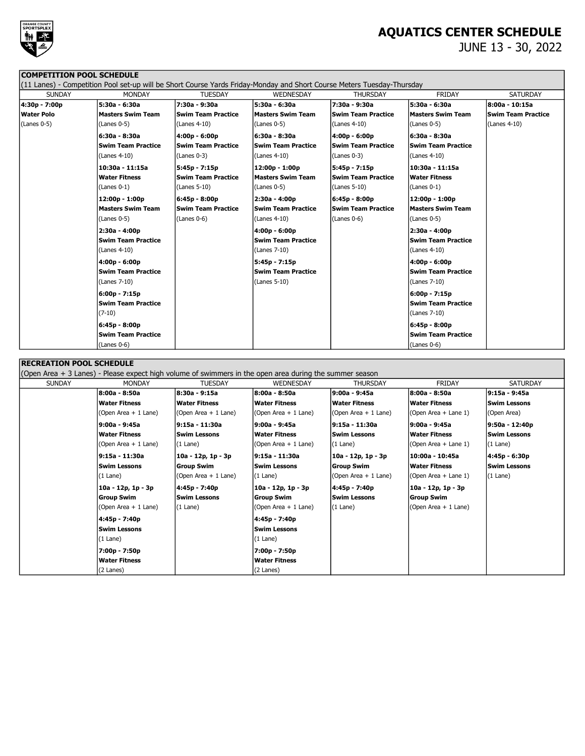

# AQUATICS CENTER SCHEDULE

JUNE 13 - 30, 2022

### COMPETITION POOL SCHEDULE

|               | (11 Lanes) - Competition Pool set-up will be Short Course Yards Friday-Monday and Short Course Meters Tuesday-Thursday |                           |                           |                           |                           |                           |
|---------------|------------------------------------------------------------------------------------------------------------------------|---------------------------|---------------------------|---------------------------|---------------------------|---------------------------|
| <b>SUNDAY</b> | <b>MONDAY</b>                                                                                                          | <b>TUESDAY</b>            | WEDNESDAY                 | <b>THURSDAY</b>           | <b>FRIDAY</b>             | <b>SATURDAY</b>           |
| 4:30p - 7:00p | 5:30a - 6:30a                                                                                                          | 7:30a - 9:30a             | l5:30a - 6:30a            | 7:30a - 9:30a             | 5:30a - 6:30a             | 8:00a - 10:15a            |
| Water Polo    | <b>Masters Swim Team</b>                                                                                               | <b>Swim Team Practice</b> | Masters Swim Team         | <b>Swim Team Practice</b> | <b>Masters Swim Team</b>  | <b>Swim Team Practice</b> |
| (Lanes 0-5)   | (Lanes 0-5)                                                                                                            | (Lanes 4-10)              | (Lanes 0-5)               | (Lanes 4-10)              | $(Lanes 0-5)$             | (Lanes 4-10)              |
|               | 6:30a - 8:30a                                                                                                          | $4:00p - 6:00p$           | 6:30a - 8:30a             | $4:00p - 6:00p$           | 6:30a - 8:30a             |                           |
|               | <b>Swim Team Practice</b>                                                                                              | <b>Swim Team Practice</b> | <b>Swim Team Practice</b> | <b>Swim Team Practice</b> | <b>Swim Team Practice</b> |                           |
|               | (Lanes 4-10)                                                                                                           | $(Lanes 0-3)$             | $(Lanes 4-10)$            | (Lanes 0-3)               | $(Lanes 4-10)$            |                           |
|               | 10:30a - 11:15a                                                                                                        | $5:45p - 7:15p$           | 12:00p - 1:00p            | $5:45p - 7:15p$           | 10:30a - 11:15a           |                           |
|               | <b>Water Fitness</b>                                                                                                   | <b>Swim Team Practice</b> | Masters Swim Team         | <b>Swim Team Practice</b> | <b>Water Fitness</b>      |                           |
|               | (Lanes 0-1)                                                                                                            | (Lanes 5-10)              | (Lanes 0-5)               | (Lanes 5-10)              | $(Lanes 0-1)$             |                           |
|               | $12:00p - 1:00p$                                                                                                       | $6:45p - 8:00p$           | 2:30a - 4:00p             | $6:45p - 8:00p$           | 12:00p - 1:00p            |                           |
|               | <b>Masters Swim Team</b>                                                                                               | <b>Swim Team Practice</b> | <b>Swim Team Practice</b> | <b>Swim Team Practice</b> | <b>Masters Swim Team</b>  |                           |
|               | (Lanes 0-5)                                                                                                            | $(Lanes 0-6)$             | (Lanes 4-10)              | (Lanes 0-6)               | $(Lanes 0-5)$             |                           |
|               | 2:30a - 4:00p                                                                                                          |                           | 4:00p - 6:00p             |                           | 2:30a - 4:00p             |                           |
|               | <b>Swim Team Practice</b>                                                                                              |                           | <b>Swim Team Practice</b> |                           | Swim Team Practice        |                           |
|               | (Lanes 4-10)                                                                                                           |                           | $(Lanes 7-10)$            |                           | $(Lanes 4-10)$            |                           |
|               | $4:00p - 6:00p$                                                                                                        |                           | 5:45p - 7:15p             |                           | 4:00p - 6:00p             |                           |
|               | <b>Swim Team Practice</b>                                                                                              |                           | <b>Swim Team Practice</b> |                           | Swim Team Practice        |                           |
|               | (Lanes 7-10)                                                                                                           |                           | $(Lanes 5-10)$            |                           | (Lanes 7-10)              |                           |
|               | $6:00p - 7:15p$                                                                                                        |                           |                           |                           | 6:00p - 7:15p             |                           |
|               | <b>Swim Team Practice</b>                                                                                              |                           |                           |                           | Swim Team Practice        |                           |
|               | $(7-10)$                                                                                                               |                           |                           |                           | $(Lanes 7-10)$            |                           |
|               | $6:45p - 8:00p$                                                                                                        |                           |                           |                           | 6:45p - 8:00p             |                           |
|               | <b>Swim Team Practice</b>                                                                                              |                           |                           |                           | <b>Swim Team Practice</b> |                           |
|               | $(Lanes 0-6)$                                                                                                          |                           |                           |                           | $(Lanes 0-6)$             |                           |

#### RECREATION POOL SCHEDULE

(Open Area + 3 Lanes) - Please expect high volume of swimmers in the open area during the summer season

| <b>SUNDAY</b> | <b>MONDAY</b>        | <b>TUESDAY</b>       | <b>WEDNESDAY</b>      | <b>THURSDAY</b>      | <b>FRIDAY</b>        | <b>SATURDAY</b>     |
|---------------|----------------------|----------------------|-----------------------|----------------------|----------------------|---------------------|
|               | 8:00a - 8:50a        | 8:30a - 9:15a        | 8:00a - 8:50a         | 9:00a - 9:45a        | 8:00a - 8:50a        | l9:15a - 9:45a      |
|               | <b>Water Fitness</b> | <b>Water Fitness</b> | <b>Water Fitness</b>  | Water Fitness        | <b>Water Fitness</b> | <b>Swim Lessons</b> |
|               | (Open Area + 1 Lane) | (Open Area + 1 Lane) | (Open Area $+1$ Lane) | (Open Area + 1 Lane) | (Open Area + Lane 1) | (Open Area)         |
|               | 9:00a - 9:45a        | l9:15a - 11:30a      | 9:00a - 9:45a         | l9:15a - 11:30a      | 9:00a - 9:45a        | 9:50a - 12:40p      |
|               | <b>Water Fitness</b> | <b>Swim Lessons</b>  | <b>Water Fitness</b>  | Swim Lessons         | <b>Water Fitness</b> | <b>Swim Lessons</b> |
|               | (Open Area + 1 Lane) | $(1$ Lane)           | (Open Area $+1$ Lane) | $(1$ Lane)           | (Open Area + Lane 1) | $(1$ Lane)          |
|               | 9:15a - 11:30a       | 10a - 12p, 1p - 3p   | l9:15a - 11:30a       | 10a - 12p, 1p - 3p   | 10:00a - 10:45a      | 4:45p - 6:30p       |
|               | <b>Swim Lessons</b>  | <b>Group Swim</b>    | <b>Swim Lessons</b>   | Group Swim           | <b>Water Fitness</b> | lSwim Lessons       |
|               | $(1$ Lane)           | (Open Area + 1 Lane) | $(1$ Lane)            | (Open Area + 1 Lane) | (Open Area + Lane 1) | $(1$ Lane)          |
|               | 10a - 12p, 1p - 3p   | 4:45p - 7:40p        | 10a - 12p, 1p - 3p    | 4:45p - 7:40p        | 10a - 12p, 1p - 3p   |                     |
|               | Group Swim           | <b>Swim Lessons</b>  | <b>Group Swim</b>     | <b>Swim Lessons</b>  | <b>Group Swim</b>    |                     |
|               | (Open Area + 1 Lane) | $(1$ Lane)           | (Open Area + 1 Lane)  | $(1$ Lane)           | (Open Area + 1 Lane) |                     |
|               | 4:45p - 7:40p        |                      | 4:45p - 7:40p         |                      |                      |                     |
|               | <b>Swim Lessons</b>  |                      | <b>Swim Lessons</b>   |                      |                      |                     |
|               | $(1$ Lane)           |                      | (1 Lane)              |                      |                      |                     |
|               | 7:00p - 7:50p        |                      | 7:00p - 7:50p         |                      |                      |                     |
|               | <b>Water Fitness</b> |                      | <b>Water Fitness</b>  |                      |                      |                     |
|               | (2 Lanes)            |                      | (2 Lanes)             |                      |                      |                     |